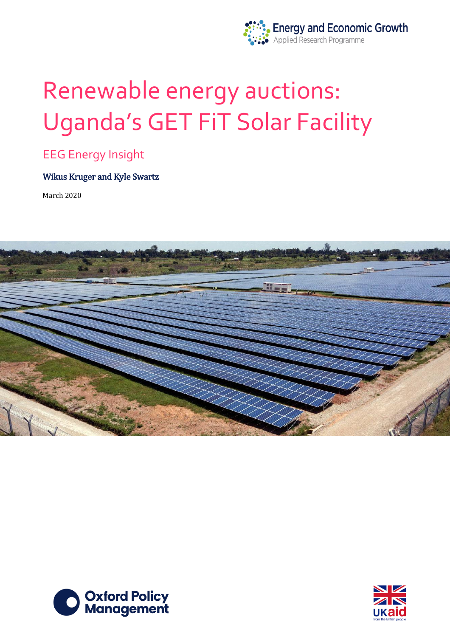

# Renewable energy auctions: Uganda's GET FiT Solar Facility

## EEG Energy Insight

### Wikus Kruger and Kyle Swartz

March 2020





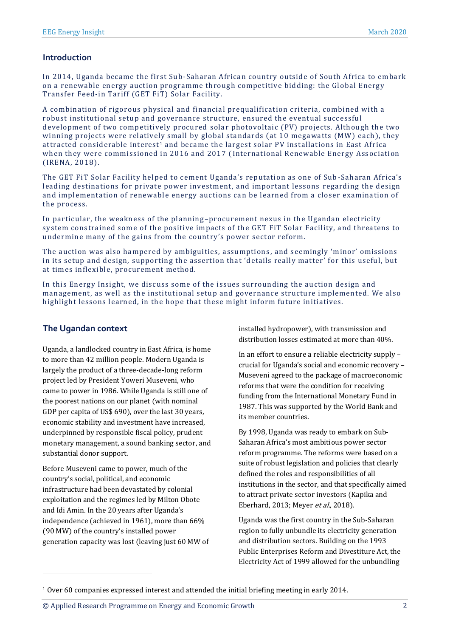#### **Introduction**

In 2014, Uganda became the first Sub-Saharan African country outside of South Africa to embark on a renewable energy auction programme through competitive bidding: the Global Energy Transfer Feed-in Tariff (GET FiT) Solar Facility.

A combination of rigorous physical and financial prequalification criteria, combined with a robust institutional setup and governance structure, ensured the eventual successful development of two competitively procured solar photovoltaic (PV) projects. Although the two winning projects were relatively small by global standards (at 10 megawatts (MW) each), they attracted considerable interest<sup>1</sup> and became the largest solar PV installations in East Africa when they were commissioned in 2016 and 2017 ( International Renewable Energy Association (IRENA, 2018).

The GET FiT Solar Facility helped to cement Uganda's reputation as one of Sub -Saharan Africa's leading destinations for private power investment, and important lessons regarding the design and implementation of renewable energy auctions can be learned from a closer examination of the process.

In particular, the weakness of the planning–procurement nexus in the Ugandan electricity system constrained some of the positive impacts of the GET FiT Solar Facility, and threatens to undermine many of the gains from the country's power sector reform.

The auction was also hampered by ambiguities, assumptions , and seemingly 'minor' omissions in its setup and design, supporting the assertion that 'details really matter' for this useful, but at times inflexible, procurement method.

In this Energy Insight, we discuss some of the issues surrounding the auction design and management, as well as the institutional setup and governance structure implemented. We also highlight lessons learned, in the hope that these might inform future initiatives.

#### **The Ugandan context**

Uganda, a landlocked country in East Africa, is home to more than 42 million people. Modern Uganda is largely the product of a three-decade-long reform project led by President Yoweri Museveni, who came to power in 1986. While Uganda is still one of the poorest nations on our planet (with nominal GDP per capita of US\$ 690), over the last 30 years, economic stability and investment have increased, underpinned by responsible fiscal policy, prudent monetary management, a sound banking sector, and substantial donor support.

Before Museveni came to power, much of the country's social, political, and economic infrastructure had been devastated by colonial exploitation and the regimes led by Milton Obote and Idi Amin. In the 20 years after Uganda's independence (achieved in 1961), more than 66% (90 MW) of the country's installed power generation capacity was lost (leaving just 60 MW of installed hydropower), with transmission and distribution losses estimated at more than 40%.

In an effort to ensure a reliable electricity supply – crucial for Uganda's social and economic recovery – Museveni agreed to the package of macroeconomic reforms that were the condition for receiving funding from the International Monetary Fund in 1987. This was supported by the World Bank and its member countries.

By 1998, Uganda was ready to embark on Sub-Saharan Africa's most ambitious power sector reform programme. The reforms were based on a suite of robust legislation and policies that clearly defined the roles and responsibilities of all institutions in the sector, and that specifically aimed to attract private sector investors (Kapika and Eberhard, 2013; Meyer et al., 2018).

Uganda was the first country in the Sub-Saharan region to fully unbundle its electricity generation and distribution sectors. Building on the 1993 Public Enterprises Reform and Divestiture Act, the Electricity Act of 1999 allowed for the unbundling

© Applied Research Programme on Energy and Economic Growth 2

<sup>1</sup> Over 60 companies expressed interest and attended the initial briefing meeting in early 2014.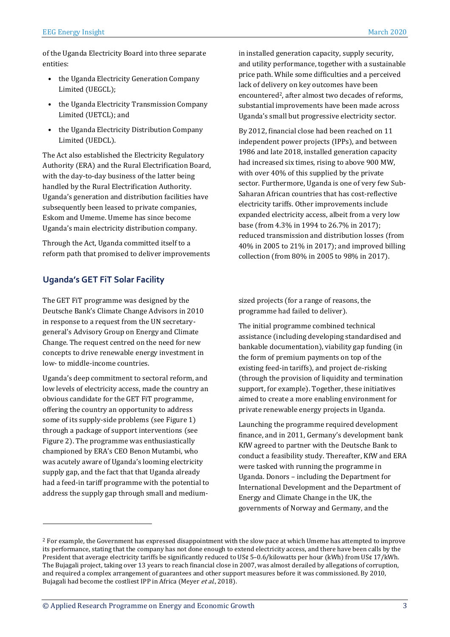of the Uganda Electricity Board into three separate entities:

- the Uganda Electricity Generation Company Limited (UEGCL);
- the Uganda Electricity Transmission Company Limited (UETCL); and
- the Uganda Electricity Distribution Company Limited (UEDCL).

The Act also established the Electricity Regulatory Authority (ERA) and the Rural Electrification Board, with the day-to-day business of the latter being handled by the Rural Electrification Authority. Uganda's generation and distribution facilities have subsequently been leased to private companies, Eskom and Umeme. Umeme has since become Uganda's main electricity distribution company.

Through the Act, Uganda committed itself to a reform path that promised to deliver improvements

#### **Uganda's GET FiT Solar Facility**

The GET FiT programme was designed by the Deutsche Bank's Climate Change Advisors in 2010 in response to a request from the UN secretarygeneral's Advisory Group on Energy and Climate Change. The request centred on the need for new concepts to drive renewable energy investment in low- to middle-income countries.

Uganda's deep commitment to sectoral reform, and low levels of electricity access, made the country an obvious candidate for the GET FiT programme, offering the country an opportunity to address some of its supply-side problems (see Figure 1) through a package of support interventions (see Figure 2). The programme was enthusiastically championed by ERA's CEO Benon Mutambi, who was acutely aware of Uganda's looming electricity supply gap, and the fact that that Uganda already had a feed-in tariff programme with the potential to address the supply gap through small and medium-

 $\overline{a}$ 

in installed generation capacity, supply security, and utility performance, together with a sustainable price path. While some difficulties and a perceived lack of delivery on key outcomes have been encountered<sup>2</sup>, after almost two decades of reforms, substantial improvements have been made across Uganda's small but progressive electricity sector.

By 2012, financial close had been reached on 11 independent power projects (IPPs), and between 1986 and late 2018, installed generation capacity had increased six times, rising to above 900 MW, with over 40% of this supplied by the private sector. Furthermore, Uganda is one of very few Sub-Saharan African countries that has cost-reflective electricity tariffs. Other improvements include expanded electricity access, albeit from a very low base (from 4.3% in 1994 to 26.7% in 2017); reduced transmission and distribution losses (from 40% in 2005 to 21% in 2017); and improved billing collection (from 80% in 2005 to 98% in 2017).

sized projects (for a range of reasons, the programme had failed to deliver).

The initial programme combined technical assistance (including developing standardised and bankable documentation), viability gap funding (in the form of premium payments on top of the existing feed-in tariffs), and project de-risking (through the provision of liquidity and termination support, for example). Together, these initiatives aimed to create a more enabling environment for private renewable energy projects in Uganda.

Launching the programme required development finance, and in 2011, Germany's development bank KfW agreed to partner with the Deutsche Bank to conduct a feasibility study. Thereafter, KfW and ERA were tasked with running the programme in Uganda. Donors – including the Department for International Development and the Department of Energy and Climate Change in the UK, the governments of Norway and Germany, and the

<sup>&</sup>lt;sup>2</sup> For example, the Government has expressed disappointment with the slow pace at which Umeme has attempted to improve its performance, stating that the company has not done enough to extend electricity access, and there have been calls by the President that average electricity tariffs be significantly reduced to US¢ 5–0.6/kilowatts per hour (kWh) from US¢ 17/kWh. The Bujagali project, taking over 13 years to reach financial close in 2007, was almost derailed by allegations of corruption, and required a complex arrangement of guarantees and other support measures before it was commissioned. By 2010, Bujagali had become the costliest IPP in Africa (Meyer et al., 2018).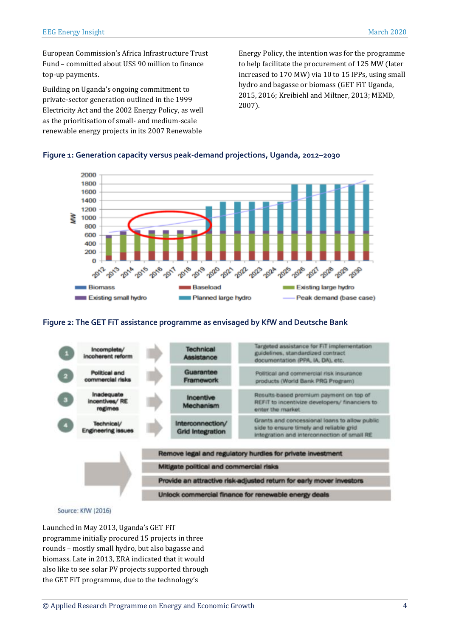European Commission's Africa Infrastructure Trust Fund – committed about US\$ 90 million to finance top-up payments.

Building on Uganda's ongoing commitment to private-sector generation outlined in the 1999 Electricity Act and the 2002 Energy Policy, as well as the prioritisation of small- and medium-scale renewable energy projects in its 2007 Renewable

Energy Policy, the intention was for the programme to help facilitate the procurement of 125 MW (later increased to 170 MW) via 10 to 15 IPPs, using small hydro and bagasse or biomass (GET FiT Uganda, 2015, 2016; Kreibiehl and Miltner, 2013; MEMD, 2007).

#### 2000 1800 1600 1400 1200 1000 800 600 400 200  $\Omega$ 2012 2029 Pap 2014 2015 **Biomass Baseload Existing large hydro** Existing small hydro Planned large hydro Peak demand (base case)

**Figure 1: Generation capacity versus peak-demand projections, Uganda, 2012–2030**

#### **Figure 2: The GET FiT assistance programme as envisaged by KfW and Deutsche Bank**



Source: KfW (2016)

Launched in May 2013, Uganda's GET FiT programme initially procured 15 projects in three rounds – mostly small hydro, but also bagasse and biomass. Late in 2013, ERA indicated that it would also like to see solar PV projects supported through the GET FiT programme, due to the technology's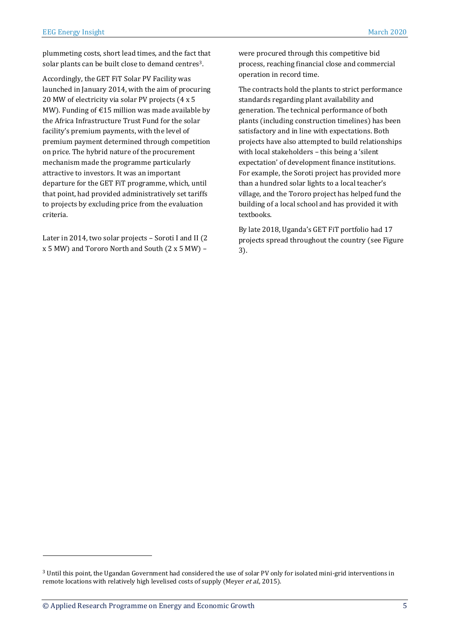plummeting costs, short lead times, and the fact that solar plants can be built close to demand centres<sup>3</sup>.

Accordingly, the GET FiT Solar PV Facility was launched in January 2014, with the aim of procuring 20 MW of electricity via solar PV projects (4 x 5 MW). Funding of  $E$ 15 million was made available by the Africa Infrastructure Trust Fund for the solar facility's premium payments, with the level of premium payment determined through competition on price. The hybrid nature of the procurement mechanism made the programme particularly attractive to investors. It was an important departure for the GET FiT programme, which, until that point, had provided administratively set tariffs to projects by excluding price from the evaluation criteria.

Later in 2014, two solar projects – Soroti I and II (2 x 5 MW) and Tororo North and South (2 x 5 MW) –

were procured through this competitive bid process, reaching financial close and commercial operation in record time.

The contracts hold the plants to strict performance standards regarding plant availability and generation. The technical performance of both plants (including construction timelines) has been satisfactory and in line with expectations. Both projects have also attempted to build relationships with local stakeholders – this being a 'silent expectation' of development finance institutions. For example, the Soroti project has provided more than a hundred solar lights to a local teacher's village, and the Tororo project has helped fund the building of a local school and has provided it with textbooks.

By late 2018, Uganda's GET FiT portfolio had 17 projects spread throughout the country (see Figure 3).

<sup>3</sup> Until this point, the Ugandan Government had considered the use of solar PV only for isolated mini-grid interventions in remote locations with relatively high levelised costs of supply (Meyer et al., 2015).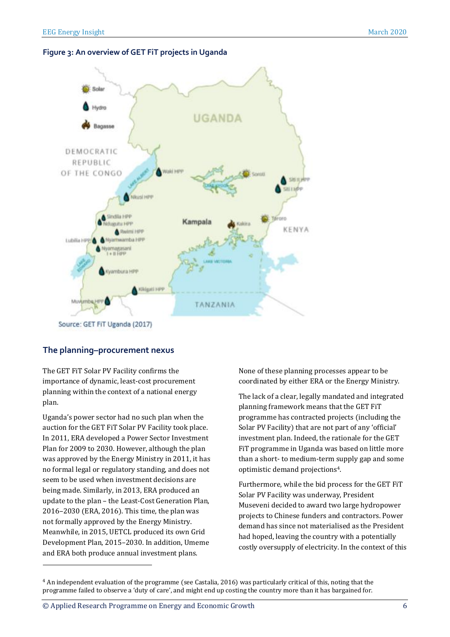#### **Figure 3: An overview of GET FiT projects in Uganda**



#### **The planning–procurement nexus**

The GET FiT Solar PV Facility confirms the importance of dynamic, least-cost procurement planning within the context of a national energy plan.

Uganda's power sector had no such plan when the auction for the GET FiT Solar PV Facility took place. In 2011, ERA developed a Power Sector Investment Plan for 2009 to 2030. However, although the plan was approved by the Energy Ministry in 2011, it has no formal legal or regulatory standing, and does not seem to be used when investment decisions are being made. Similarly, in 2013, ERA produced an update to the plan – the Least-Cost Generation Plan, 2016–2030 (ERA, 2016). This time, the plan was not formally approved by the Energy Ministry. Meanwhile, in 2015, UETCL produced its own Grid Development Plan, 2015–2030. In addition, Umeme and ERA both produce annual investment plans.

None of these planning processes appear to be coordinated by either ERA or the Energy Ministry.

The lack of a clear, legally mandated and integrated planning framework means that the GET FiT programme has contracted projects (including the Solar PV Facility) that are not part of any 'official' investment plan. Indeed, the rationale for the GET FiT programme in Uganda was based on little more than a short- to medium-term supply gap and some optimistic demand projections4.

Furthermore, while the bid process for the GET FiT Solar PV Facility was underway, President Museveni decided to award two large hydropower projects to Chinese funders and contractors. Power demand has since not materialised as the President had hoped, leaving the country with a potentially costly oversupply of electricity. In the context of this

<sup>4</sup> An independent evaluation of the programme (see Castalia, 2016) was particularly critical of this, noting that the programme failed to observe a 'duty of care', and might end up costing the country more than it has bargained for.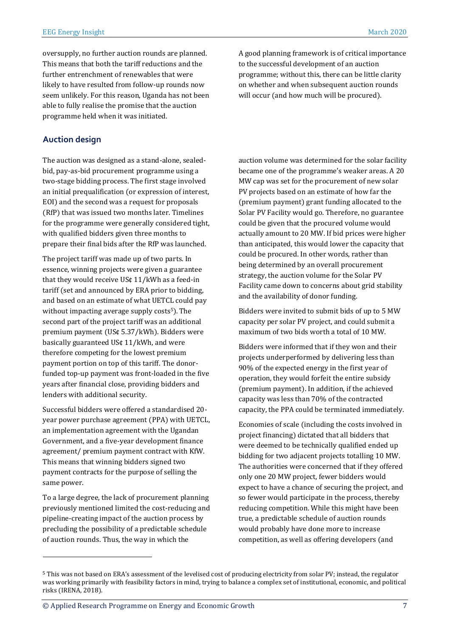oversupply, no further auction rounds are planned. This means that both the tariff reductions and the further entrenchment of renewables that were likely to have resulted from follow-up rounds now seem unlikely. For this reason, Uganda has not been able to fully realise the promise that the auction programme held when it was initiated.

#### **Auction design**

The auction was designed as a stand-alone, sealedbid, pay-as-bid procurement programme using a two-stage bidding process. The first stage involved an initial prequalification (or expression of interest, EOI) and the second was a request for proposals (RfP) that was issued two months later. Timelines for the programme were generally considered tight, with qualified bidders given three months to prepare their final bids after the RfP was launched.

The project tariff was made up of two parts. In essence, winning projects were given a guarantee that they would receive US¢ 11/kWh as a feed-in tariff (set and announced by ERA prior to bidding, and based on an estimate of what UETCL could pay without impacting average supply costs $5$ ). The second part of the project tariff was an additional premium payment (US¢ 5.37/kWh). Bidders were basically guaranteed US¢ 11/kWh, and were therefore competing for the lowest premium payment portion on top of this tariff. The donorfunded top-up payment was front-loaded in the five years after financial close, providing bidders and lenders with additional security.

Successful bidders were offered a standardised 20 year power purchase agreement (PPA) with UETCL, an implementation agreement with the Ugandan Government, and a five-year development finance agreement/ premium payment contract with KfW. This means that winning bidders signed two payment contracts for the purpose of selling the same power.

To a large degree, the lack of procurement planning previously mentioned limited the cost-reducing and pipeline-creating impact of the auction process by precluding the possibility of a predictable schedule of auction rounds. Thus, the way in which the

 $\overline{a}$ 

A good planning framework is of critical importance to the successful development of an auction programme; without this, there can be little clarity on whether and when subsequent auction rounds will occur (and how much will be procured).

auction volume was determined for the solar facility became one of the programme's weaker areas. A 20 MW cap was set for the procurement of new solar PV projects based on an estimate of how far the (premium payment) grant funding allocated to the Solar PV Facility would go. Therefore, no guarantee could be given that the procured volume would actually amount to 20 MW. If bid prices were higher than anticipated, this would lower the capacity that could be procured. In other words, rather than being determined by an overall procurement strategy, the auction volume for the Solar PV Facility came down to concerns about grid stability and the availability of donor funding.

Bidders were invited to submit bids of up to 5 MW capacity per solar PV project, and could submit a maximum of two bids worth a total of 10 MW.

Bidders were informed that if they won and their projects underperformed by delivering less than 90% of the expected energy in the first year of operation, they would forfeit the entire subsidy (premium payment). In addition, if the achieved capacity was less than 70% of the contracted capacity, the PPA could be terminated immediately.

Economies of scale (including the costs involved in project financing) dictated that all bidders that were deemed to be technically qualified ended up bidding for two adjacent projects totalling 10 MW. The authorities were concerned that if they offered only one 20 MW project, fewer bidders would expect to have a chance of securing the project, and so fewer would participate in the process, thereby reducing competition. While this might have been true, a predictable schedule of auction rounds would probably have done more to increase competition, as well as offering developers (and

<sup>5</sup> This was not based on ERA's assessment of the levelised cost of producing electricity from solar PV; instead, the regulator was working primarily with feasibility factors in mind, trying to balance a complex set of institutional, economic, and political risks (IRENA, 2018).

<sup>©</sup> Applied Research Programme on Energy and Economic Growth 7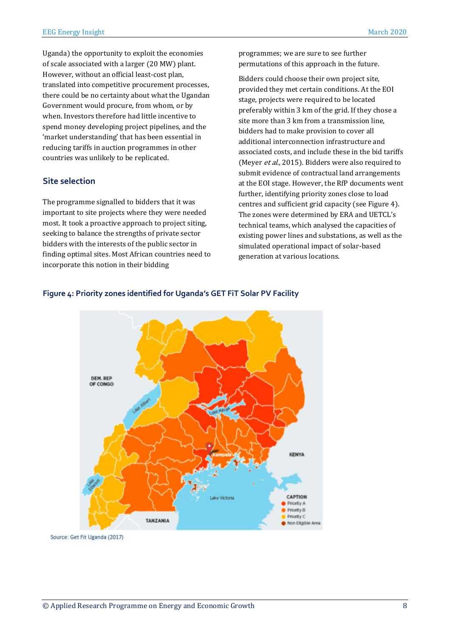Uganda) the opportunity to exploit the economies of scale associated with a larger (20 MW) plant. However, without an official least-cost plan, translated into competitive procurement processes, there could be no certainty about what the Ugandan Government would procure, from whom, or by when. Investors therefore had little incentive to spend money developing project pipelines, and the 'market understanding' that has been essential in reducing tariffs in auction programmes in other countries was unlikely to be replicated.

#### **Site selection**

The programme signalled to bidders that it was important to site projects where they were needed most. It took a proactive approach to project siting, seeking to balance the strengths of private sector bidders with the interests of the public sector in finding optimal sites. Most African countries need to incorporate this notion in their bidding

programmes; we are sure to see further permutations of this approach in the future.

Bidders could choose their own project site, provided they met certain conditions. At the EOI stage, projects were required to be located preferably within 3 km of the grid. If they chose a site more than 3 km from a transmission line, bidders had to make provision to cover all additional interconnection infrastructure and associated costs, and include these in the bid tariffs (Meyer et al., 2015). Bidders were also required to submit evidence of contractual land arrangements at the EOI stage. However, the RfP documents went further, identifying priority zones close to load centres and sufficient grid capacity (see Figure 4). The zones were determined by ERA and UETCL's technical teams, which analysed the capacities of existing power lines and substations, as well as the simulated operational impact of solar-based generation at various locations.



#### **Figure 4: Priority zones identified for Uganda's GET FiT Solar PV Facility**

Source: Get Fit Uganda (2017)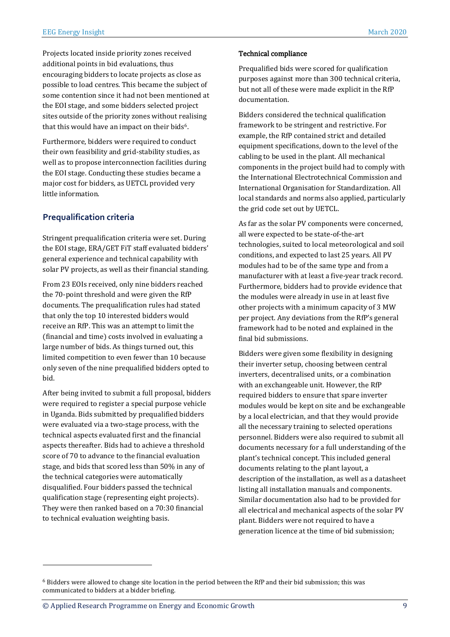Projects located inside priority zones received additional points in bid evaluations, thus encouraging bidders to locate projects as close as possible to load centres. This became the subject of some contention since it had not been mentioned at the EOI stage, and some bidders selected project sites outside of the priority zones without realising that this would have an impact on their bids<sup>6</sup>.

Furthermore, bidders were required to conduct their own feasibility and grid-stability studies, as well as to propose interconnection facilities during the EOI stage. Conducting these studies became a major cost for bidders, as UETCL provided very little information.

#### **Prequalification criteria**

Stringent prequalification criteria were set. During the EOI stage, ERA/GET FiT staff evaluated bidders' general experience and technical capability with solar PV projects, as well as their financial standing.

From 23 EOIs received, only nine bidders reached the 70-point threshold and were given the RfP documents. The prequalification rules had stated that only the top 10 interested bidders would receive an RfP. This was an attempt to limit the (financial and time) costs involved in evaluating a large number of bids. As things turned out, this limited competition to even fewer than 10 because only seven of the nine prequalified bidders opted to bid.

After being invited to submit a full proposal, bidders were required to register a special purpose vehicle in Uganda. Bids submitted by prequalified bidders were evaluated via a two-stage process, with the technical aspects evaluated first and the financial aspects thereafter. Bids had to achieve a threshold score of 70 to advance to the financial evaluation stage, and bids that scored less than 50% in any of the technical categories were automatically disqualified. Four bidders passed the technical qualification stage (representing eight projects). They were then ranked based on a 70:30 financial to technical evaluation weighting basis.

#### Technical compliance

Prequalified bids were scored for qualification purposes against more than 300 technical criteria, but not all of these were made explicit in the RfP documentation.

Bidders considered the technical qualification framework to be stringent and restrictive. For example, the RfP contained strict and detailed equipment specifications, down to the level of the cabling to be used in the plant. All mechanical components in the project build had to comply with the International Electrotechnical Commission and International Organisation for Standardization. All local standards and norms also applied, particularly the grid code set out by UETCL.

As far as the solar PV components were concerned, all were expected to be state-of-the-art technologies, suited to local meteorological and soil conditions, and expected to last 25 years. All PV modules had to be of the same type and from a manufacturer with at least a five-year track record. Furthermore, bidders had to provide evidence that the modules were already in use in at least five other projects with a minimum capacity of 3 MW per project. Any deviations from the RfP's general framework had to be noted and explained in the final bid submissions.

Bidders were given some flexibility in designing their inverter setup, choosing between central inverters, decentralised units, or a combination with an exchangeable unit. However, the RfP required bidders to ensure that spare inverter modules would be kept on site and be exchangeable by a local electrician, and that they would provide all the necessary training to selected operations personnel. Bidders were also required to submit all documents necessary for a full understanding of the plant's technical concept. This included general documents relating to the plant layout, a description of the installation, as well as a datasheet listing all installation manuals and components. Similar documentation also had to be provided for all electrical and mechanical aspects of the solar PV plant. Bidders were not required to have a generation licence at the time of bid submission;

 $6$  Bidders were allowed to change site location in the period between the RfP and their bid submission; this was communicated to bidders at a bidder briefing.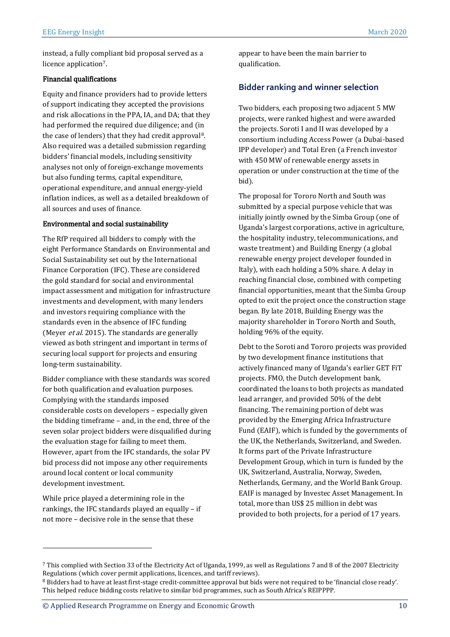instead, a fully compliant bid proposal served as a licence application7.

#### Financial qualifications

Equity and finance providers had to provide letters of support indicating they accepted the provisions and risk allocations in the PPA, IA, and DA; that they had performed the required due diligence; and (in the case of lenders) that they had credit approval8. Also required was a detailed submission regarding bidders' financial models, including sensitivity analyses not only of foreign-exchange movements but also funding terms, capital expenditure, operational expenditure, and annual energy-yield inflation indices, as well as a detailed breakdown of all sources and uses of finance.

#### Environmental and social sustainability

The RfP required all bidders to comply with the eight Performance Standards on Environmental and Social Sustainability set out by the International Finance Corporation (IFC). These are considered the gold standard for social and environmental impact assessment and mitigation for infrastructure investments and development, with many lenders and investors requiring compliance with the standards even in the absence of IFC funding (Meyer et al. 2015). The standards are generally viewed as both stringent and important in terms of securing local support for projects and ensuring long-term sustainability.

Bidder compliance with these standards was scored for both qualification and evaluation purposes. Complying with the standards imposed considerable costs on developers – especially given the bidding timeframe – and, in the end, three of the seven solar project bidders were disqualified during the evaluation stage for failing to meet them. However, apart from the IFC standards, the solar PV bid process did not impose any other requirements around local content or local community development investment.

While price played a determining role in the rankings, the IFC standards played an equally – if not more – decisive role in the sense that these

 $\overline{a}$ 

appear to have been the main barrier to qualification.

#### **Bidder ranking and winner selection**

Two bidders, each proposing two adjacent 5 MW projects, were ranked highest and were awarded the projects. Soroti I and II was developed by a consortium including Access Power (a Dubai-based IPP developer) and Total Eren (a French investor with 450 MW of renewable energy assets in operation or under construction at the time of the bid).

The proposal for Tororo North and South was submitted by a special purpose vehicle that was initially jointly owned by the Simba Group (one of Uganda's largest corporations, active in agriculture, the hospitality industry, telecommunications, and waste treatment) and Building Energy (a global renewable energy project developer founded in Italy), with each holding a 50% share. A delay in reaching financial close, combined with competing financial opportunities, meant that the Simba Group opted to exit the project once the construction stage began. By late 2018, Building Energy was the majority shareholder in Tororo North and South, holding 96% of the equity.

Debt to the Soroti and Tororo projects was provided by two development finance institutions that actively financed many of Uganda's earlier GET FiT projects. FMO, the Dutch development bank, coordinated the loans to both projects as mandated lead arranger, and provided 50% of the debt financing. The remaining portion of debt was provided by the Emerging Africa Infrastructure Fund (EAIF), which is funded by the governments of the UK, the Netherlands, Switzerland, and Sweden. It forms part of the Private Infrastructure Development Group, which in turn is funded by the UK, Switzerland, Australia, Norway, Sweden, Netherlands, Germany, and the World Bank Group. EAIF is managed by Investec Asset Management. In total, more than US\$ 25 million in debt was provided to both projects, for a period of 17 years.

<sup>7</sup> This complied with Section 33 of the Electricity Act of Uganda, 1999, as well as Regulations 7 and 8 of the 2007 Electricity Regulations (which cover permit applications, licences, and tariff reviews).

<sup>8</sup> Bidders had to have at least first-stage credit-committee approval but bids were not required to be 'financial close ready'. This helped reduce bidding costs relative to similar bid programmes, such as South Africa's REIPPPP.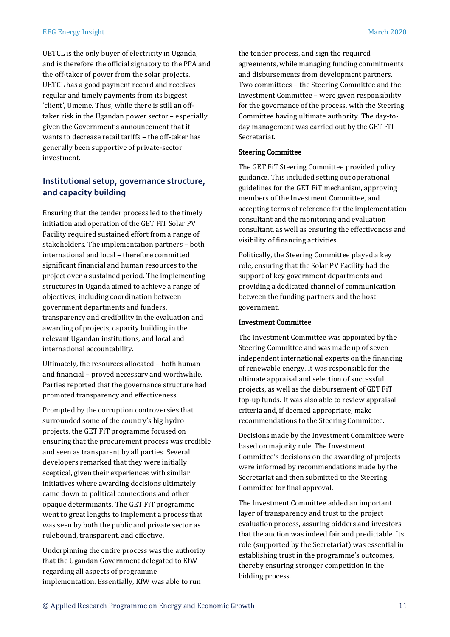UETCL is the only buyer of electricity in Uganda, and is therefore the official signatory to the PPA and the off-taker of power from the solar projects. UETCL has a good payment record and receives regular and timely payments from its biggest 'client', Umeme. Thus, while there is still an offtaker risk in the Ugandan power sector – especially given the Government's announcement that it wants to decrease retail tariffs – the off-taker has generally been supportive of private-sector investment.

#### **Institutional setup, governance structure, and capacity building**

Ensuring that the tender process led to the timely initiation and operation of the GET FiT Solar PV Facility required sustained effort from a range of stakeholders. The implementation partners – both international and local – therefore committed significant financial and human resources to the project over a sustained period. The implementing structures in Uganda aimed to achieve a range of objectives, including coordination between government departments and funders, transparency and credibility in the evaluation and awarding of projects, capacity building in the relevant Ugandan institutions, and local and international accountability.

Ultimately, the resources allocated – both human and financial – proved necessary and worthwhile. Parties reported that the governance structure had promoted transparency and effectiveness.

Prompted by the corruption controversies that surrounded some of the country's big hydro projects, the GET FiT programme focused on ensuring that the procurement process was credible and seen as transparent by all parties. Several developers remarked that they were initially sceptical, given their experiences with similar initiatives where awarding decisions ultimately came down to political connections and other opaque determinants. The GET FiT programme went to great lengths to implement a process that was seen by both the public and private sector as rulebound, transparent, and effective.

Underpinning the entire process was the authority that the Ugandan Government delegated to KfW regarding all aspects of programme implementation. Essentially, KfW was able to run

the tender process, and sign the required agreements, while managing funding commitments and disbursements from development partners. Two committees – the Steering Committee and the Investment Committee – were given responsibility for the governance of the process, with the Steering Committee having ultimate authority. The day-today management was carried out by the GET FiT Secretariat.

#### Steering Committee

The GET FiT Steering Committee provided policy guidance. This included setting out operational guidelines for the GET FiT mechanism, approving members of the Investment Committee, and accepting terms of reference for the implementation consultant and the monitoring and evaluation consultant, as well as ensuring the effectiveness and visibility of financing activities.

Politically, the Steering Committee played a key role, ensuring that the Solar PV Facility had the support of key government departments and providing a dedicated channel of communication between the funding partners and the host government.

#### Investment Committee

The Investment Committee was appointed by the Steering Committee and was made up of seven independent international experts on the financing of renewable energy. It was responsible for the ultimate appraisal and selection of successful projects, as well as the disbursement of GET FiT top-up funds. It was also able to review appraisal criteria and, if deemed appropriate, make recommendations to the Steering Committee.

Decisions made by the Investment Committee were based on majority rule. The Investment Committee's decisions on the awarding of projects were informed by recommendations made by the Secretariat and then submitted to the Steering Committee for final approval.

The Investment Committee added an important layer of transparency and trust to the project evaluation process, assuring bidders and investors that the auction was indeed fair and predictable. Its role (supported by the Secretariat) was essential in establishing trust in the programme's outcomes, thereby ensuring stronger competition in the bidding process.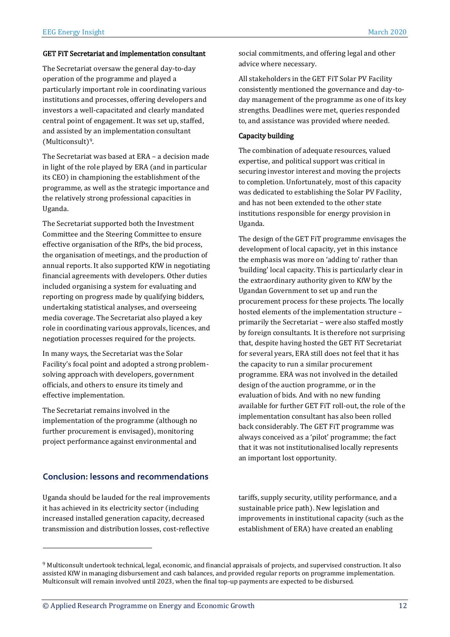#### GET FiT Secretariat and implementation consultant

The Secretariat oversaw the general day-to-day operation of the programme and played a particularly important role in coordinating various institutions and processes, offering developers and investors a well-capacitated and clearly mandated central point of engagement. It was set up, staffed, and assisted by an implementation consultant (Multiconsult) 9.

The Secretariat was based at ERA – a decision made in light of the role played by ERA (and in particular its CEO) in championing the establishment of the programme, as well as the strategic importance and the relatively strong professional capacities in Uganda.

The Secretariat supported both the Investment Committee and the Steering Committee to ensure effective organisation of the RfPs, the bid process, the organisation of meetings, and the production of annual reports. It also supported KfW in negotiating financial agreements with developers. Other duties included organising a system for evaluating and reporting on progress made by qualifying bidders, undertaking statistical analyses, and overseeing media coverage. The Secretariat also played a key role in coordinating various approvals, licences, and negotiation processes required for the projects.

In many ways, the Secretariat was the Solar Facility's focal point and adopted a strong problemsolving approach with developers, government officials, and others to ensure its timely and effective implementation.

The Secretariat remains involved in the implementation of the programme (although no further procurement is envisaged), monitoring project performance against environmental and

#### **Conclusion: lessons and recommendations**

Uganda should be lauded for the real improvements it has achieved in its electricity sector (including increased installed generation capacity, decreased transmission and distribution losses, cost-reflective

 $\overline{a}$ 

social commitments, and offering legal and other advice where necessary.

All stakeholders in the GET FiT Solar PV Facility consistently mentioned the governance and day-today management of the programme as one of its key strengths. Deadlines were met, queries responded to, and assistance was provided where needed.

#### Capacity building

The combination of adequate resources, valued expertise, and political support was critical in securing investor interest and moving the projects to completion. Unfortunately, most of this capacity was dedicated to establishing the Solar PV Facility, and has not been extended to the other state institutions responsible for energy provision in Uganda.

The design of the GET FiT programme envisages the development of local capacity, yet in this instance the emphasis was more on 'adding to' rather than 'building' local capacity. This is particularly clear in the extraordinary authority given to KfW by the Ugandan Government to set up and run the procurement process for these projects. The locally hosted elements of the implementation structure – primarily the Secretariat – were also staffed mostly by foreign consultants. It is therefore not surprising that, despite having hosted the GET FiT Secretariat for several years, ERA still does not feel that it has the capacity to run a similar procurement programme. ERA was not involved in the detailed design of the auction programme, or in the evaluation of bids. And with no new funding available for further GET FiT roll-out, the role of the implementation consultant has also been rolled back considerably. The GET FiT programme was always conceived as a 'pilot' programme; the fact that it was not institutionalised locally represents an important lost opportunity.

tariffs, supply security, utility performance, and a sustainable price path). New legislation and improvements in institutional capacity (such as the establishment of ERA) have created an enabling

<sup>9</sup> Multiconsult undertook technical, legal, economic, and financial appraisals of projects, and supervised construction. It also assisted KfW in managing disbursement and cash balances, and provided regular reports on programme implementation. Multiconsult will remain involved until 2023, when the final top-up payments are expected to be disbursed.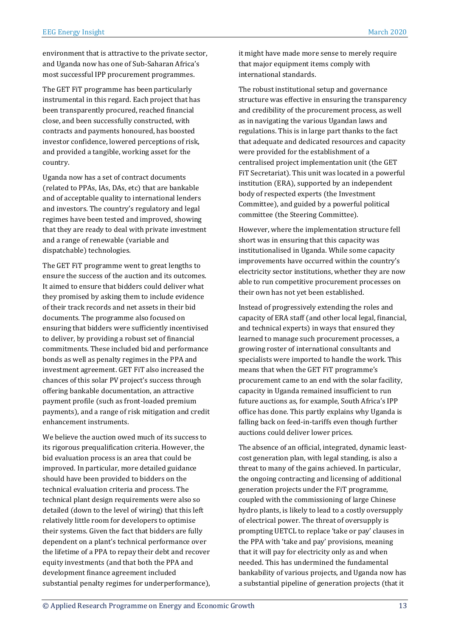environment that is attractive to the private sector, and Uganda now has one of Sub-Saharan Africa's most successful IPP procurement programmes.

The GET FiT programme has been particularly instrumental in this regard. Each project that has been transparently procured, reached financial close, and been successfully constructed, with contracts and payments honoured, has boosted investor confidence, lowered perceptions of risk, and provided a tangible, working asset for the country.

Uganda now has a set of contract documents (related to PPAs, IAs, DAs, etc) that are bankable and of acceptable quality to international lenders and investors. The country's regulatory and legal regimes have been tested and improved, showing that they are ready to deal with private investment and a range of renewable (variable and dispatchable) technologies.

The GET FiT programme went to great lengths to ensure the success of the auction and its outcomes. It aimed to ensure that bidders could deliver what they promised by asking them to include evidence of their track records and net assets in their bid documents. The programme also focused on ensuring that bidders were sufficiently incentivised to deliver, by providing a robust set of financial commitments. These included bid and performance bonds as well as penalty regimes in the PPA and investment agreement. GET FiT also increased the chances of this solar PV project's success through offering bankable documentation, an attractive payment profile (such as front-loaded premium payments), and a range of risk mitigation and credit enhancement instruments.

We believe the auction owed much of its success to its rigorous prequalification criteria. However, the bid evaluation process is an area that could be improved. In particular, more detailed guidance should have been provided to bidders on the technical evaluation criteria and process. The technical plant design requirements were also so detailed (down to the level of wiring) that this left relatively little room for developers to optimise their systems. Given the fact that bidders are fully dependent on a plant's technical performance over the lifetime of a PPA to repay their debt and recover equity investments (and that both the PPA and development finance agreement included substantial penalty regimes for underperformance), it might have made more sense to merely require that major equipment items comply with international standards.

The robust institutional setup and governance structure was effective in ensuring the transparency and credibility of the procurement process, as well as in navigating the various Ugandan laws and regulations. This is in large part thanks to the fact that adequate and dedicated resources and capacity were provided for the establishment of a centralised project implementation unit (the GET FiT Secretariat). This unit was located in a powerful institution (ERA), supported by an independent body of respected experts (the Investment Committee), and guided by a powerful political committee (the Steering Committee).

However, where the implementation structure fell short was in ensuring that this capacity was institutionalised in Uganda. While some capacity improvements have occurred within the country's electricity sector institutions, whether they are now able to run competitive procurement processes on their own has not yet been established.

Instead of progressively extending the roles and capacity of ERA staff (and other local legal, financial, and technical experts) in ways that ensured they learned to manage such procurement processes, a growing roster of international consultants and specialists were imported to handle the work. This means that when the GET FiT programme's procurement came to an end with the solar facility, capacity in Uganda remained insufficient to run future auctions as, for example, South Africa's IPP office has done. This partly explains why Uganda is falling back on feed-in-tariffs even though further auctions could deliver lower prices.

The absence of an official, integrated, dynamic leastcost generation plan, with legal standing, is also a threat to many of the gains achieved. In particular, the ongoing contracting and licensing of additional generation projects under the FiT programme, coupled with the commissioning of large Chinese hydro plants, is likely to lead to a costly oversupply of electrical power. The threat of oversupply is prompting UETCL to replace 'take or pay' clauses in the PPA with 'take and pay' provisions, meaning that it will pay for electricity only as and when needed. This has undermined the fundamental bankability of various projects, and Uganda now has a substantial pipeline of generation projects (that it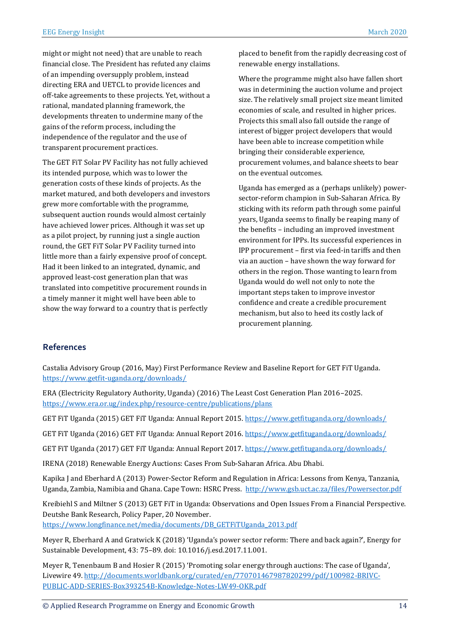might or might not need) that are unable to reach financial close. The President has refuted any claims of an impending oversupply problem, instead directing ERA and UETCL to provide licences and off-take agreements to these projects. Yet, without a rational, mandated planning framework, the developments threaten to undermine many of the gains of the reform process, including the independence of the regulator and the use of transparent procurement practices.

The GET FiT Solar PV Facility has not fully achieved its intended purpose, which was to lower the generation costs of these kinds of projects. As the market matured, and both developers and investors grew more comfortable with the programme, subsequent auction rounds would almost certainly have achieved lower prices. Although it was set up as a pilot project, by running just a single auction round, the GET FiT Solar PV Facility turned into little more than a fairly expensive proof of concept. Had it been linked to an integrated, dynamic, and approved least-cost generation plan that was translated into competitive procurement rounds in a timely manner it might well have been able to show the way forward to a country that is perfectly

placed to benefit from the rapidly decreasing cost of renewable energy installations.

Where the programme might also have fallen short was in determining the auction volume and project size. The relatively small project size meant limited economies of scale, and resulted in higher prices. Projects this small also fall outside the range of interest of bigger project developers that would have been able to increase competition while bringing their considerable experience, procurement volumes, and balance sheets to bear on the eventual outcomes.

Uganda has emerged as a (perhaps unlikely) powersector-reform champion in Sub-Saharan Africa. By sticking with its reform path through some painful years, Uganda seems to finally be reaping many of the benefits – including an improved investment environment for IPPs. Its successful experiences in IPP procurement – first via feed-in tariffs and then via an auction – have shown the way forward for others in the region. Those wanting to learn from Uganda would do well not only to note the important steps taken to improve investor confidence and create a credible procurement mechanism, but also to heed its costly lack of procurement planning.

#### **References**

Castalia Advisory Group (2016, May) First Performance Review and Baseline Report for GET FiT Uganda. <https://www.getfit-uganda.org/downloads/>

ERA (Electricity Regulatory Authority, Uganda) (2016) The Least Cost Generation Plan 2016–2025. <https://www.era.or.ug/index.php/resource-centre/publications/plans>

GET FIT Uganda (2015) GET FIT Uganda: Annual Report 2015.<https://www.getfituganda.org/downloads/>

GET FiT Uganda (2016) GET FiT Uganda: Annual Report 2016.<https://www.getfituganda.org/downloads/>

GET FIT Uganda (2017) GET FIT Uganda: Annual Report 2017.<https://www.getfituganda.org/downloads/>

IRENA (2018) Renewable Energy Auctions: Cases From Sub-Saharan Africa. Abu Dhabi.

Kapika J and Eberhard A (2013) Power-Sector Reform and Regulation in Africa: Lessons from Kenya, Tanzania, Uganda, Zambia, Namibia and Ghana. Cape Town: HSRC Press. <http://www.gsb.uct.ac.za/files/Powersector.pdf>

Kreibiehl S and Miltner S (2013) GET FiT in Uganda: Observations and Open Issues From a Financial Perspective. Deutshe Bank Research, Policy Paper, 20 November.

[https://www.longfinance.net/media/documents/DB\\_GETFiTUganda\\_2013.pdf](https://www.longfinance.net/media/documents/DB_GETFiTUganda_2013.pdf)

Meyer R, Eberhard A and Gratwick K (2018) 'Uganda's power sector reform: There and back again?', Energy for Sustainable Development, 43: 75–89. doi: 10.1016/j.esd.2017.11.001.

Meyer R, Tenenbaum B and Hosier R (2015) 'Promoting solar energy through auctions: The case of Uganda', Livewire 49. [http://documents.worldbank.org/curated/en/770701467987820299/pdf/100982-BRIVC-](http://documents.worldbank.org/curated/en/770701467987820299/pdf/100982-BRIVC-PUBLIC-ADD-SERIES-Box393254B-Knowledge-Notes-LW49-OKR.pdf)[PUBLIC-ADD-SERIES-Box393254B-Knowledge-Notes-LW49-OKR.pdf](http://documents.worldbank.org/curated/en/770701467987820299/pdf/100982-BRIVC-PUBLIC-ADD-SERIES-Box393254B-Knowledge-Notes-LW49-OKR.pdf)